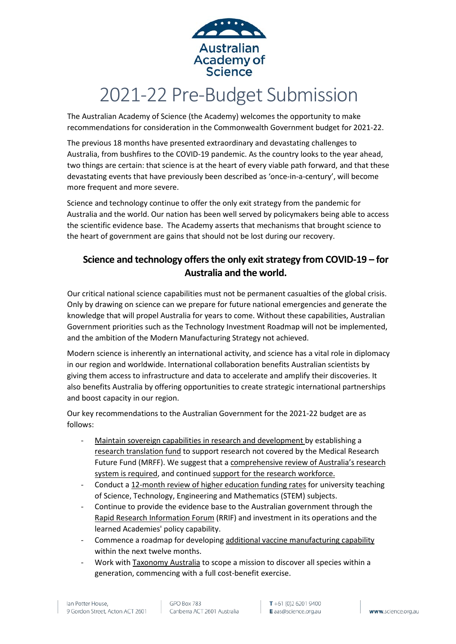

# 2021-22 Pre-Budget Submission

The Australian Academy of Science (the Academy) welcomes the opportunity to make recommendations for consideration in the Commonwealth Government budget for 2021-22.

The previous 18 months have presented extraordinary and devastating challenges to Australia, from bushfires to the COVID-19 pandemic. As the country looks to the year ahead, two things are certain: that science is at the heart of every viable path forward, and that these devastating events that have previously been described as 'once-in-a-century', will become more frequent and more severe.

Science and technology continue to offer the only exit strategy from the pandemic for Australia and the world. Our nation has been well served by policymakers being able to access the scientific evidence base. The Academy asserts that mechanisms that brought science to the heart of government are gains that should not be lost during our recovery.

## **Science and technology offers the only exit strategy from COVID-19 – for Australia and the world.**

Our critical national science capabilities must not be permanent casualties of the global crisis. Only by drawing on science can we prepare for future national emergencies and generate the knowledge that will propel Australia for years to come. Without these capabilities, Australian Government priorities such as the Technology Investment Roadmap will not be implemented, and the ambition of the Modern Manufacturing Strategy not achieved.

Modern science is inherently an international activity, and science has a vital role in diplomacy in our region and worldwide. International collaboration benefits Australian scientists by giving them access to infrastructure and data to accelerate and amplify their discoveries. It also benefits Australia by offering opportunities to create strategic international partnerships and boost capacity in our region.

Our key recommendations to the Australian Government for the 2021-22 budget are as follows:

- Maintain sovereign capabilities in research and development by establishing a research translation fund to support research not covered by the Medical Research Future Fund (MRFF). We suggest that a comprehensive review of Australia's research system is required, and continued support for the research workforce.
- Conduct a 12-month review of higher education funding rates for university teaching of Science, Technology, Engineering and Mathematics (STEM) subjects.
- Continue to provide the evidence base to the Australian government through the Rapid Research Information Forum (RRIF) and investment in its operations and the learned Academies' policy capability.
- Commence a roadmap for developing additional vaccine manufacturing capability within the next twelve months.
- Work with Taxonomy Australia to scope a mission to discover all species within a generation, commencing with a full cost-benefit exercise.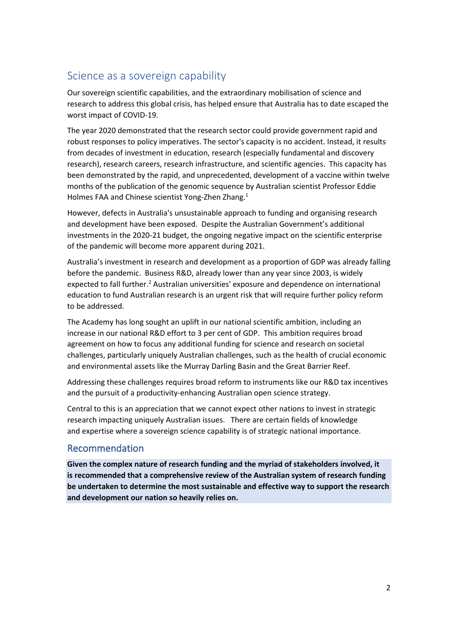# Science as a sovereign capability

Our sovereign scientific capabilities, and the extraordinary mobilisation of science and research to address this global crisis, has helped ensure that Australia has to date escaped the worst impact of COVID-19.

The year 2020 demonstrated that the research sector could provide government rapid and robust responses to policy imperatives. The sector's capacity is no accident. Instead, it results from decades of investment in education, research (especially fundamental and discovery research), research careers, research infrastructure, and scientific agencies. This capacity has been demonstrated by the rapid, and unprecedented, development of a vaccine within twelve months of the publication of the genomic sequence by Australian scientist Professor Eddie Holmes FAA and Chinese scientist Yong-Zhen Zhang.<sup>1</sup>

However, defects in Australia's unsustainable approach to funding and organising research and development have been exposed. Despite the Australian Government's additional investments in the 2020-21 budget, the ongoing negative impact on the scientific enterprise of the pandemic will become more apparent during 2021.

Australia's investment in research and development as a proportion of GDP was already falling before the pandemic. Business R&D, already lower than any year since 2003, is widely expected to fall further.<sup>2</sup> Australian universities' exposure and dependence on international education to fund Australian research is an urgent risk that will require further policy reform to be addressed.

The Academy has long sought an uplift in our national scientific ambition, including an increase in our national R&D effort to 3 per cent of GDP. This ambition requires broad agreement on how to focus any additional funding for science and research on societal challenges, particularly uniquely Australian challenges, such as the health of crucial economic and environmental assets like the Murray Darling Basin and the Great Barrier Reef.

Addressing these challenges requires broad reform to instruments like our R&D tax incentives and the pursuit of a productivity-enhancing Australian open science strategy.

Central to this is an appreciation that we cannot expect other nations to invest in strategic research impacting uniquely Australian issues. There are certain fields of knowledge and expertise where a sovereign science capability is of strategic national importance.

#### Recommendation

**Given the complex nature of research funding and the myriad of stakeholders involved, it is recommended that a comprehensive review of the Australian system of research funding be undertaken to determine the most sustainable and effective way to support the research and development our nation so heavily relies on.**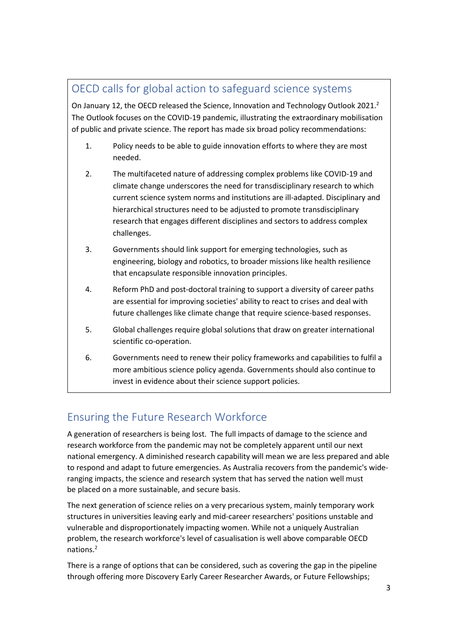# OECD calls for global action to safeguard science systems

On January 12, the OECD released the Science, Innovation and Technology Outlook 2021.<sup>2</sup> The Outlook focuses on the COVID-19 pandemic, illustrating the extraordinary mobilisation of public and private science. The report has made six broad policy recommendations:

- 1. Policy needs to be able to guide innovation efforts to where they are most needed.
- 2. The multifaceted nature of addressing complex problems like COVID-19 and climate change underscores the need for transdisciplinary research to which current science system norms and institutions are ill-adapted. Disciplinary and hierarchical structures need to be adjusted to promote transdisciplinary research that engages different disciplines and sectors to address complex challenges.
- 3. Governments should link support for emerging technologies, such as engineering, biology and robotics, to broader missions like health resilience that encapsulate responsible innovation principles.
- 4. Reform PhD and post-doctoral training to support a diversity of career paths are essential for improving societies' ability to react to crises and deal with future challenges like climate change that require science-based responses.
- 5. Global challenges require global solutions that draw on greater international scientific co-operation.
- 6. Governments need to renew their policy frameworks and capabilities to fulfil a more ambitious science policy agenda. Governments should also continue to invest in evidence about their science support policies.

# Ensuring the Future Research Workforce

A generation of researchers is being lost. The full impacts of damage to the science and research workforce from the pandemic may not be completely apparent until our next national emergency. A diminished research capability will mean we are less prepared and able to respond and adapt to future emergencies. As Australia recovers from the pandemic's wideranging impacts, the science and research system that has served the nation well must be placed on a more sustainable, and secure basis.  

The next generation of science relies on a very precarious system, mainly temporary work structures in universities leaving early and mid-career researchers' positions unstable and vulnerable and disproportionately impacting women. While not a uniquely Australian problem, the research workforce's level of casualisation is well above comparable OECD nations.2

There is a range of options that can be considered, such as covering the gap in the pipeline through offering more Discovery Early Career Researcher Awards, or Future Fellowships;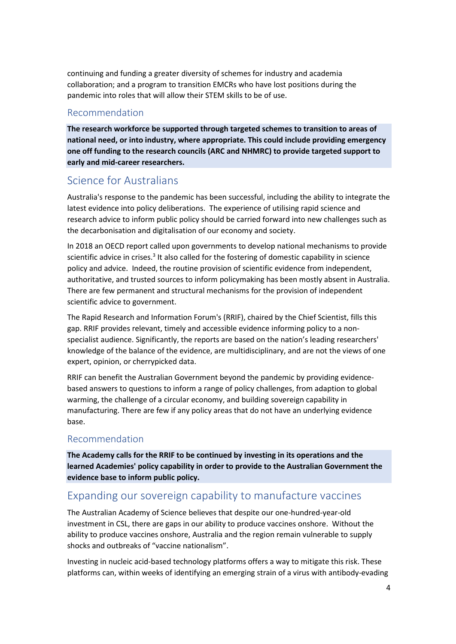continuing and funding a greater diversity of schemes for industry and academia collaboration; and a program to transition EMCRs who have lost positions during the pandemic into roles that will allow their STEM skills to be of use.

#### Recommendation

**The research workforce be supported through targeted schemes to transition to areas of national need, or into industry, where appropriate. This could include providing emergency one off funding to the research councils (ARC and NHMRC) to provide targeted support to early and mid-career researchers.**

# Science for Australians

Australia's response to the pandemic has been successful, including the ability to integrate the latest evidence into policy deliberations. The experience of utilising rapid science and research advice to inform public policy should be carried forward into new challenges such as the decarbonisation and digitalisation of our economy and society.

In 2018 an OECD report called upon governments to develop national mechanisms to provide scientific advice in crises.<sup>3</sup> It also called for the fostering of domestic capability in science policy and advice. Indeed, the routine provision of scientific evidence from independent, authoritative, and trusted sources to inform policymaking has been mostly absent in Australia. There are few permanent and structural mechanisms for the provision of independent scientific advice to government.

The Rapid Research and Information Forum's (RRIF), chaired by the Chief Scientist, fills this gap. RRIF provides relevant, timely and accessible evidence informing policy to a nonspecialist audience. Significantly, the reports are based on the nation's leading researchers' knowledge of the balance of the evidence, are multidisciplinary, and are not the views of one expert, opinion, or cherrypicked data.

RRIF can benefit the Australian Government beyond the pandemic by providing evidencebased answers to questions to inform a range of policy challenges, from adaption to global warming, the challenge of a circular economy, and building sovereign capability in manufacturing. There are few if any policy areas that do not have an underlying evidence base.

#### Recommendation

**The Academy calls for the RRIF to be continued by investing in its operations and the learned Academies' policy capability in order to provide to the Australian Government the evidence base to inform public policy.** 

# Expanding our sovereign capability to manufacture vaccines

The Australian Academy of Science believes that despite our one-hundred-year-old investment in CSL, there are gaps in our ability to produce vaccines onshore. Without the ability to produce vaccines onshore, Australia and the region remain vulnerable to supply shocks and outbreaks of "vaccine nationalism".

Investing in nucleic acid-based technology platforms offers a way to mitigate this risk. These platforms can, within weeks of identifying an emerging strain of a virus with antibody-evading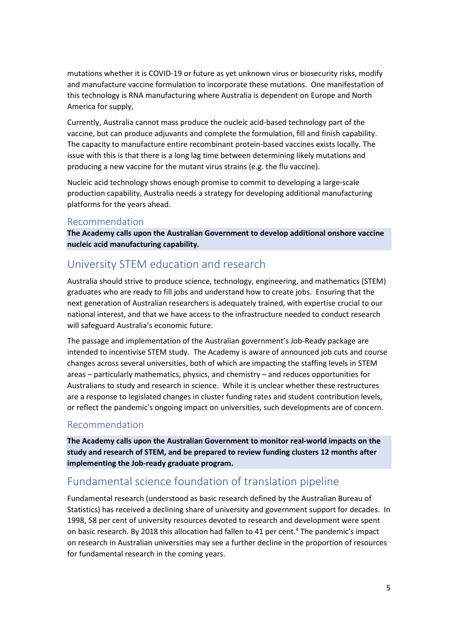mutations whether it is COVID-19 or future as yet unknown virus or biosecurity risks, modify and manufacture vaccine formulation to incorporate these mutations. One manifestation of this technology is RNA manufacturing where Australia is dependent on Europe and North America for supply,

Currently, Australia cannot mass produce the nucleic acid-based technology part of the vaccine, but can produce adjuvants and complete the formulation, fill and finish capability. The capacity to manufacture entire recombinant protein-based vaccines exists locally. The issue with this is that there is a long lag time between determining likely mutations and producing a new vaccine for the mutant virus strains (e.g. the flu vaccine).

Nucleic acid technology shows enough promise to commit to developing a large-scale production capability, Australia needs a strategy for developing additional manufacturing platforms for the years ahead.

#### Recommendation

**The Academy calls upon the Australian Government to develop additional onshore vaccine nucleic acid manufacturing capability.**

# University STEM education and research

Australia should strive to produce science, technology, engineering, and mathematics (STEM) graduates who are ready to fill jobs and understand how to create jobs. Ensuring that the next generation of Australian researchers is adequately trained, with expertise crucial to our national interest, and that we have access to the infrastructure needed to conduct research will safeguard Australia's economic future.

The passage and implementation of the Australian government's Job-Ready package are intended to incentivise STEM study. The Academy is aware of announced job cuts and course changes across several universities, both of which are impacting the staffing levels in STEM areas – particularly mathematics, physics, and chemistry – and reduces opportunities for Australians to study and research in science. While it is unclear whether these restructures are a response to legislated changes in cluster funding rates and student contribution levels, or reflect the pandemic's ongoing impact on universities, such developments are of concern.

#### Recommendation

**The Academy calls upon the Australian Government to monitor real-world impacts on the study and research of STEM, and be prepared to review funding clusters 12 months after implementing the Job-ready graduate program.**

# Fundamental science foundation of translation pipeline

Fundamental research (understood as basic research defined by the Australian Bureau of Statistics) has received a declining share of university and government support for decades. In 1998, 58 per cent of university resources devoted to research and development were spent on basic research. By 2018 this allocation had fallen to 41 per cent.<sup>4</sup> The pandemic's impact on research in Australian universities may see a further decline in the proportion of resources for fundamental research in the coming years.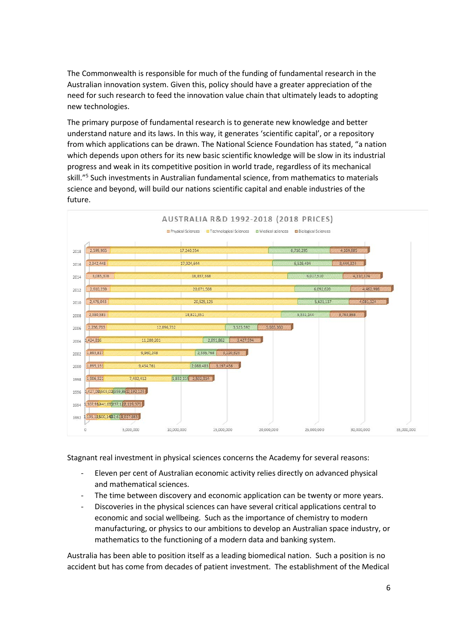The Commonwealth is responsible for much of the funding of fundamental research in the Australian innovation system. Given this, policy should have a greater appreciation of the need for such research to feed the innovation value chain that ultimately leads to adopting new technologies.

The primary purpose of fundamental research is to generate new knowledge and better understand nature and its laws. In this way, it generates 'scientific capital', or a repository from which applications can be drawn. The National Science Foundation has stated, "a nation which depends upon others for its new basic scientific knowledge will be slow in its industrial progress and weak in its competitive position in world trade, regardless of its mechanical skill."5 Such investments in Australian fundamental science, from mathematics to materials science and beyond, will build our nations scientific capital and enable industries of the future.



Stagnant real investment in physical sciences concerns the Academy for several reasons:

- Eleven per cent of Australian economic activity relies directly on advanced physical and mathematical sciences.
- The time between discovery and economic application can be twenty or more years.
- Discoveries in the physical sciences can have several critical applications central to economic and social wellbeing. Such as the importance of chemistry to modern manufacturing, or physics to our ambitions to develop an Australian space industry, or mathematics to the functioning of a modern data and banking system.

Australia has been able to position itself as a leading biomedical nation. Such a position is no accident but has come from decades of patient investment. The establishment of the Medical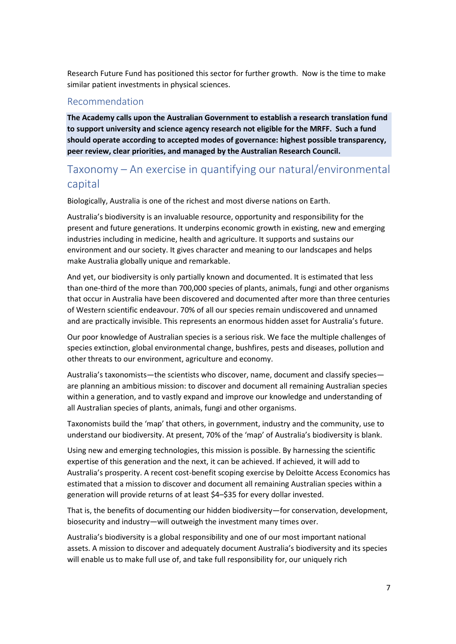Research Future Fund has positioned this sector for further growth. Now is the time to make similar patient investments in physical sciences.

#### Recommendation

**The Academy calls upon the Australian Government to establish a research translation fund to support university and science agency research not eligible for the MRFF. Such a fund should operate according to accepted modes of governance: highest possible transparency, peer review, clear priorities, and managed by the Australian Research Council.**

## Taxonomy – An exercise in quantifying our natural/environmental capital

Biologically, Australia is one of the richest and most diverse nations on Earth.

Australia's biodiversity is an invaluable resource, opportunity and responsibility for the present and future generations. It underpins economic growth in existing, new and emerging industries including in medicine, health and agriculture. It supports and sustains our environment and our society. It gives character and meaning to our landscapes and helps make Australia globally unique and remarkable.

And yet, our biodiversity is only partially known and documented. It is estimated that less than one-third of the more than 700,000 species of plants, animals, fungi and other organisms that occur in Australia have been discovered and documented after more than three centuries of Western scientific endeavour. 70% of all our species remain undiscovered and unnamed and are practically invisible. This represents an enormous hidden asset for Australia's future.

Our poor knowledge of Australian species is a serious risk. We face the multiple challenges of species extinction, global environmental change, bushfires, pests and diseases, pollution and other threats to our environment, agriculture and economy.

Australia's taxonomists—the scientists who discover, name, document and classify species are planning an ambitious mission: to discover and document all remaining Australian species within a generation, and to vastly expand and improve our knowledge and understanding of all Australian species of plants, animals, fungi and other organisms.

Taxonomists build the 'map' that others, in government, industry and the community, use to understand our biodiversity. At present, 70% of the 'map' of Australia's biodiversity is blank.

Using new and emerging technologies, this mission is possible. By harnessing the scientific expertise of this generation and the next, it can be achieved. If achieved, it will add to Australia's prosperity. A recent cost-benefit scoping exercise by Deloitte Access Economics has estimated that a mission to discover and document all remaining Australian species within a generation will provide returns of at least \$4–\$35 for every dollar invested.

That is, the benefits of documenting our hidden biodiversity—for conservation, development, biosecurity and industry—will outweigh the investment many times over.

Australia's biodiversity is a global responsibility and one of our most important national assets. A mission to discover and adequately document Australia's biodiversity and its species will enable us to make full use of, and take full responsibility for, our uniquely rich